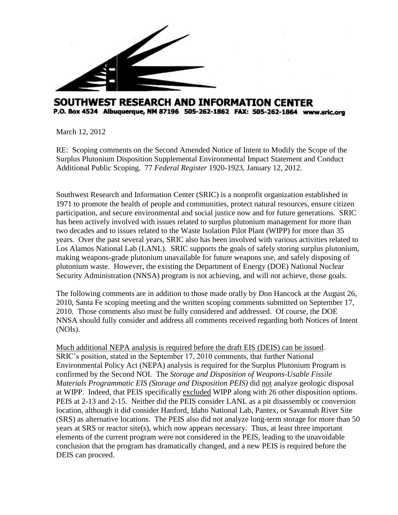

## SOUTHWEST RESEARCH AND INFORMATION CENTER P.O. Box 4524 Albuquerque, NM 87196 505-262-1862 FAX: 505-262-1864 www.sric.org

March 12, 2012

RE: Scoping comments on the Second Amended Notice of Intent to Modify the Scope of the Surplus Plutonium Disposition Supplemental Environmental Impact Statement and Conduct Additional Public Scoping. 77 *Federal Register* 1920-1923, January 12, 2012.

Southwest Research and Information Center (SRIC) is a nonprofit organization established in 1971 to promote the health of people and communities, protect natural resources, ensure citizen participation, and secure environmental and social justice now and for future generations. SRIC has been actively involved with issues related to surplus plutonium management for more than two decades and to issues related to the Waste Isolation Pilot Plant (WIPP) for more than 35 years. Over the past several years, SRIC also has been involved with various activities related to Los Alamos National Lab (LANL). SRIC supports the goals of safely storing surplus plutonium, making weapons-grade plutonium unavailable for future weapons use, and safely disposing of plutonium waste. However, the existing the Department of Energy (DOE) National Nuclear Security Administration (NNSA) program is not achieving, and will not achieve, those goals.

The following comments are in addition to those made orally by Don Hancock at the August 26, 2010, Santa Fe scoping meeting and the written scoping comments submitted on September 17, 2010. Those comments also must be fully considered and addressed. Of course, the DOE NNSA should fully consider and address all comments received regarding both Notices of Intent (NOIs).

Much additional NEPA analysis is required before the draft EIS (DEIS) can be issued. SRIC's position, stated in the September 17, 2010 comments, that further National Environmental Policy Act (NEPA) analysis is required for the Surplus Plutonium Program is confirmed by the Second NOI. The *Storage and Disposition of Weapons-Usable Fissile Materials Programmatic EIS (Storage and Disposition PEIS)* did not analyze geologic disposal at WIPP. Indeed, that PEIS specifically excluded WIPP along with 26 other disposition options. PEIS at 2-13 and 2-15. Neither did the PEIS consider LANL as a pit disassembly or conversion location, although it did consider Hanford, Idaho National Lab, Pantex, or Savannah River Site (SRS) as alternative locations. The PEIS also did not analyze long-term storage for more than 50 years at SRS or reactor site(s), which now appears necessary. Thus, at least three important elements of the current program were not considered in the PEIS, leading to the unavoidable conclusion that the program has dramatically changed, and a new PEIS is required before the DEIS can proceed.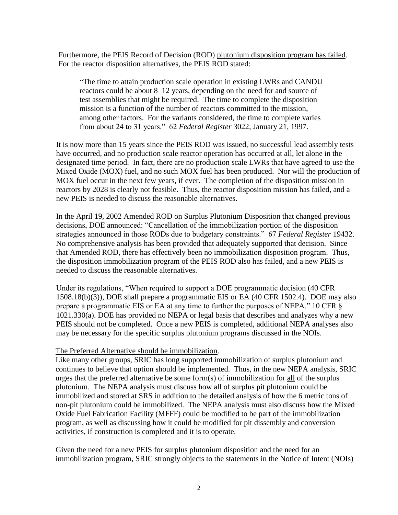Furthermore, the PEIS Record of Decision (ROD) plutonium disposition program has failed. For the reactor disposition alternatives, the PEIS ROD stated:

"The time to attain production scale operation in existing LWRs and CANDU reactors could be about 8–12 years, depending on the need for and source of test assemblies that might be required. The time to complete the disposition mission is a function of the number of reactors committed to the mission, among other factors. For the variants considered, the time to complete varies from about 24 to 31 years." 62 *Federal Register* 3022, January 21, 1997.

It is now more than 15 years since the PEIS ROD was issued, no successful lead assembly tests have occurred, and no production scale reactor operation has occurred at all, let alone in the designated time period. In fact, there are no production scale LWRs that have agreed to use the Mixed Oxide (MOX) fuel, and no such MOX fuel has been produced. Nor will the production of MOX fuel occur in the next few years, if ever. The completion of the disposition mission in reactors by 2028 is clearly not feasible. Thus, the reactor disposition mission has failed, and a new PEIS is needed to discuss the reasonable alternatives.

In the April 19, 2002 Amended ROD on Surplus Plutonium Disposition that changed previous decisions, DOE announced: "Cancellation of the immobilization portion of the disposition strategies announced in those RODs due to budgetary constraints." 67 *Federal Register* 19432. No comprehensive analysis has been provided that adequately supported that decision. Since that Amended ROD, there has effectively been no immobilization disposition program. Thus, the disposition immobilization program of the PEIS ROD also has failed, and a new PEIS is needed to discuss the reasonable alternatives.

Under its regulations, "When required to support a DOE programmatic decision (40 CFR 1508.18(b)(3)), DOE shall prepare a programmatic EIS or EA (40 CFR 1502.4). DOE may also prepare a programmatic EIS or EA at any time to further the purposes of NEPA." 10 CFR § 1021.330(a). DOE has provided no NEPA or legal basis that describes and analyzes why a new PEIS should not be completed. Once a new PEIS is completed, additional NEPA analyses also may be necessary for the specific surplus plutonium programs discussed in the NOIs.

## The Preferred Alternative should be immobilization.

Like many other groups, SRIC has long supported immobilization of surplus plutonium and continues to believe that option should be implemented. Thus, in the new NEPA analysis, SRIC urges that the preferred alternative be some form(s) of immobilization for all of the surplus plutonium. The NEPA analysis must discuss how all of surplus pit plutonium could be immobilized and stored at SRS in addition to the detailed analysis of how the 6 metric tons of non-pit plutonium could be immobilized. The NEPA analysis must also discuss how the Mixed Oxide Fuel Fabrication Facility (MFFF) could be modified to be part of the immobilization program, as well as discussing how it could be modified for pit dissembly and conversion activities, if construction is completed and it is to operate.

Given the need for a new PEIS for surplus plutonium disposition and the need for an immobilization program, SRIC strongly objects to the statements in the Notice of Intent (NOIs)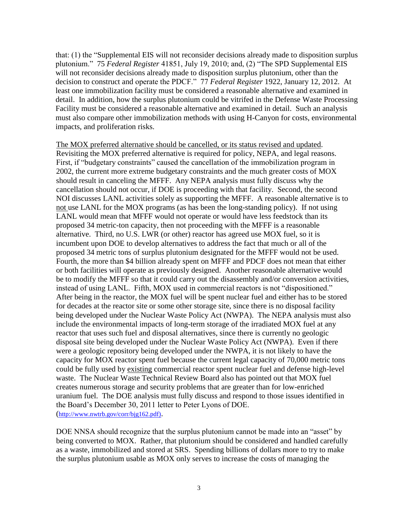that: (1) the "Supplemental EIS will not reconsider decisions already made to disposition surplus plutonium." 75 *Federal Register* 41851, July 19, 2010; and, (2) "The SPD Supplemental EIS will not reconsider decisions already made to disposition surplus plutonium, other than the decision to construct and operate the PDCF." 77 *Federal Register* 1922, January 12, 2012. At least one immobilization facility must be considered a reasonable alternative and examined in detail. In addition, how the surplus plutonium could be vitrifed in the Defense Waste Processing Facility must be considered a reasonable alternative and examined in detail. Such an analysis must also compare other immobilization methods with using H-Canyon for costs, environmental impacts, and proliferation risks.

The MOX preferred alternative should be cancelled, or its status revised and updated. Revisiting the MOX preferred alternative is required for policy, NEPA, and legal reasons. First, if "budgetary constraints" caused the cancellation of the immobilization program in 2002, the current more extreme budgetary constraints and the much greater costs of MOX should result in canceling the MFFF. Any NEPA analysis must fully discuss why the cancellation should not occur, if DOE is proceeding with that facility. Second, the second NOI discusses LANL activities solely as supporting the MFFF. A reasonable alternative is to not use LANL for the MOX programs (as has been the long-standing policy). If not using LANL would mean that MFFF would not operate or would have less feedstock than its proposed 34 metric-ton capacity, then not proceeding with the MFFF is a reasonable alternative. Third, no U.S. LWR (or other) reactor has agreed use MOX fuel, so it is incumbent upon DOE to develop alternatives to address the fact that much or all of the proposed 34 metric tons of surplus plutonium designated for the MFFF would not be used. Fourth, the more than \$4 billion already spent on MFFF and PDCF does not mean that either or both facilities will operate as previously designed. Another reasonable alternative would be to modify the MFFF so that it could carry out the disassembly and/or conversion activities, instead of using LANL. Fifth, MOX used in commercial reactors is not "dispositioned." After being in the reactor, the MOX fuel will be spent nuclear fuel and either has to be stored for decades at the reactor site or some other storage site, since there is no disposal facility being developed under the Nuclear Waste Policy Act (NWPA). The NEPA analysis must also include the environmental impacts of long-term storage of the irradiated MOX fuel at any reactor that uses such fuel and disposal alternatives, since there is currently no geologic disposal site being developed under the Nuclear Waste Policy Act (NWPA). Even if there were a geologic repository being developed under the NWPA, it is not likely to have the capacity for MOX reactor spent fuel because the current legal capacity of 70,000 metric tons could be fully used by existing commercial reactor spent nuclear fuel and defense high-level waste. The Nuclear Waste Technical Review Board also has pointed out that MOX fuel creates numerous storage and security problems that are greater than for low-enriched uranium fuel. The DOE analysis must fully discuss and respond to those issues identified in the Board's December 30, 2011 letter to Peter Lyons of DOE. ([http://www.nwtrb.gov/corr/bjg162.pdf\)](http://www.nwtrb.gov/corr/bjg162.pdf)).

DOE NNSA should recognize that the surplus plutonium cannot be made into an "asset" by being converted to MOX. Rather, that plutonium should be considered and handled carefully as a waste, immobilized and stored at SRS. Spending billions of dollars more to try to make the surplus plutonium usable as MOX only serves to increase the costs of managing the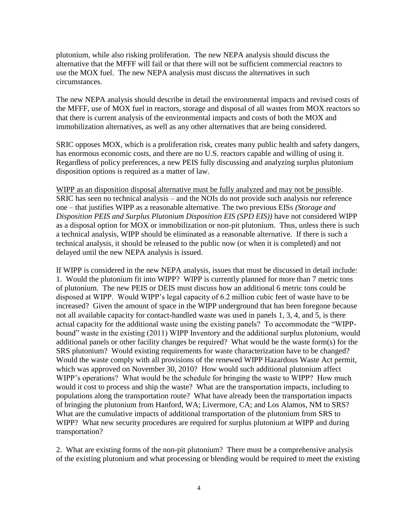plutonium, while also risking proliferation. The new NEPA analysis should discuss the alternative that the MFFF will fail or that there will not be sufficient commercial reactors to use the MOX fuel. The new NEPA analysis must discuss the alternatives in such circumstances.

The new NEPA analysis should describe in detail the environmental impacts and revised costs of the MFFF, use of MOX fuel in reactors, storage and disposal of all wastes from MOX reactors so that there is current analysis of the environmental impacts and costs of both the MOX and immobilization alternatives, as well as any other alternatives that are being considered.

SRIC opposes MOX, which is a proliferation risk, creates many public health and safety dangers, has enormous economic costs, and there are no U.S. reactors capable and willing of using it. Regardless of policy preferences, a new PEIS fully discussing and analyzing surplus plutonium disposition options is required as a matter of law.

WIPP as an disposition disposal alternative must be fully analyzed and may not be possible. SRIC has seen no technical analysis – and the NOIs do not provide such analysis nor reference one – that justifies WIPP as a reasonable alternative. The two previous EISs *(Storage and Disposition PEIS and Surplus Plutonium Disposition EIS (SPD EIS))* have not considered WIPP as a disposal option for MOX or immobilization or non-pit plutonium. Thus, unless there is such a technical analysis, WIPP should be eliminated as a reasonable alternative. If there is such a technical analysis, it should be released to the public now (or when it is completed) and not delayed until the new NEPA analysis is issued.

If WIPP is considered in the new NEPA analysis, issues that must be discussed in detail include: 1. Would the plutonium fit into WIPP?WIPP is currently planned for more than 7 metric tons of plutonium. The new PEIS or DEIS must discuss how an additional 6 metric tons could be disposed at WIPP. Would WIPP's legal capacity of 6.2 million cubic feet of waste have to be increased? Given the amount of space in the WIPP underground that has been foregone because not all available capacity for contact-handled waste was used in panels 1, 3, 4, and 5, is there actual capacity for the additional waste using the existing panels? To accommodate the "WIPPbound" waste in the existing (2011) WIPP Inventory and the additional surplus plutonium, would additional panels or other facility changes be required? What would be the waste form(s) for the SRS plutonium? Would existing requirements for waste characterization have to be changed? Would the waste comply with all provisions of the renewed WIPP Hazardous Waste Act permit, which was approved on November 30, 2010? How would such additional plutonium affect WIPP's operations? What would be the schedule for bringing the waste to WIPP? How much would it cost to process and ship the waste? What are the transportation impacts, including to populations along the transportation route? What have already been the transportation impacts of bringing the plutonium from Hanford, WA; Livermore, CA; and Los Alamos, NM to SRS? What are the cumulative impacts of additional transportation of the plutonium from SRS to WIPP? What new security procedures are required for surplus plutonium at WIPP and during transportation?

2. What are existing forms of the non-pit plutonium? There must be a comprehensive analysis of the existing plutonium and what processing or blending would be required to meet the existing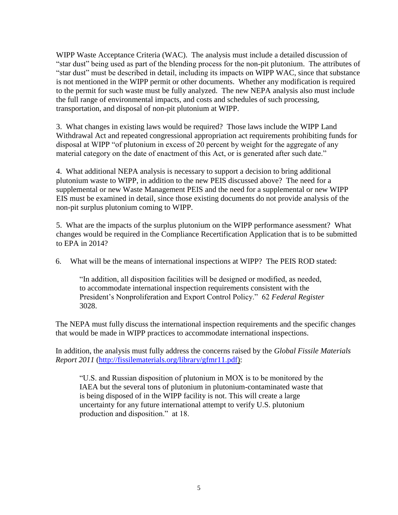WIPP Waste Acceptance Criteria (WAC). The analysis must include a detailed discussion of "star dust" being used as part of the blending process for the non-pit plutonium. The attributes of "star dust" must be described in detail, including its impacts on WIPP WAC, since that substance is not mentioned in the WIPP permit or other documents. Whether any modification is required to the permit for such waste must be fully analyzed. The new NEPA analysis also must include the full range of environmental impacts, and costs and schedules of such processing, transportation, and disposal of non-pit plutonium at WIPP.

3. What changes in existing laws would be required? Those laws include the WIPP Land Withdrawal Act and repeated congressional appropriation act requirements prohibiting funds for disposal at WIPP "of plutonium in excess of 20 percent by weight for the aggregate of any material category on the date of enactment of this Act, or is generated after such date."

4. What additional NEPA analysis is necessary to support a decision to bring additional plutonium waste to WIPP, in addition to the new PEIS discussed above? The need for a supplemental or new Waste Management PEIS and the need for a supplemental or new WIPP EIS must be examined in detail, since those existing documents do not provide analysis of the non-pit surplus plutonium coming to WIPP.

5. What are the impacts of the surplus plutonium on the WIPP performance asessment? What changes would be required in the Compliance Recertification Application that is to be submitted to EPA in 2014?

6. What will be the means of international inspections at WIPP? The PEIS ROD stated:

"In addition, all disposition facilities will be designed or modified, as needed, to accommodate international inspection requirements consistent with the President's Nonproliferation and Export Control Policy." 62 *Federal Register* 3028.

The NEPA must fully discuss the international inspection requirements and the specific changes that would be made in WIPP practices to accommodate international inspections.

In addition, the analysis must fully address the concerns raised by the *Global Fissile Materials Report 2011* [\(http://fissilematerials.org/library/gfmr11.pdf\)](http://fissilematerials.org/library/gfmr11.pdf):

"U.S. and Russian disposition of plutonium in MOX is to be monitored by the IAEA but the several tons of plutonium in plutonium-contaminated waste that is being disposed of in the WIPP facility is not. This will create a large uncertainty for any future international attempt to verify U.S. plutonium production and disposition." at 18.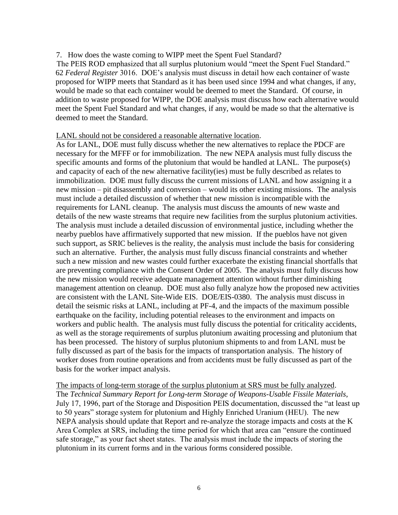## 7. How does the waste coming to WIPP meet the Spent Fuel Standard?

 The PEIS ROD emphasized that all surplus plutonium would "meet the Spent Fuel Standard." 62 *Federal Register* 3016. DOE's analysis must discuss in detail how each container of waste proposed for WIPP meets that Standard as it has been used since 1994 and what changes, if any, would be made so that each container would be deemed to meet the Standard. Of course, in addition to waste proposed for WIPP, the DOE analysis must discuss how each alternative would meet the Spent Fuel Standard and what changes, if any, would be made so that the alternative is deemed to meet the Standard.

## LANL should not be considered a reasonable alternative location.

As for LANL, DOE must fully discuss whether the new alternatives to replace the PDCF are necessary for the MFFF or for immobilization. The new NEPA analysis must fully discuss the specific amounts and forms of the plutonium that would be handled at LANL. The purpose(s) and capacity of each of the new alternative facility(ies) must be fully described as relates to immobilization. DOE must fully discuss the current missions of LANL and how assigning it a new mission – pit disassembly and conversion – would its other existing missions. The analysis must include a detailed discussion of whether that new mission is incompatible with the requirements for LANL cleanup. The analysis must discuss the amounts of new waste and details of the new waste streams that require new facilities from the surplus plutonium activities. The analysis must include a detailed discussion of environmental justice, including whether the nearby pueblos have affirmatively supported that new mission. If the pueblos have not given such support, as SRIC believes is the reality, the analysis must include the basis for considering such an alternative. Further, the analysis must fully discuss financial constraints and whether such a new mission and new wastes could further exacerbate the existing financial shortfalls that are preventing compliance with the Consent Order of 2005. The analysis must fully discuss how the new mission would receive adequate management attention without further diminishing management attention on cleanup. DOE must also fully analyze how the proposed new activities are consistent with the LANL Site-Wide EIS. DOE/EIS-0380. The analysis must discuss in detail the seismic risks at LANL, including at PF-4, and the impacts of the maximum possible earthquake on the facility, including potential releases to the environment and impacts on workers and public health. The analysis must fully discuss the potential for criticality accidents, as well as the storage requirements of surplus plutonium awaiting processing and plutonium that has been processed. The history of surplus plutonium shipments to and from LANL must be fully discussed as part of the basis for the impacts of transportation analysis. The history of worker doses from routine operations and from accidents must be fully discussed as part of the basis for the worker impact analysis.

The impacts of long-term storage of the surplus plutonium at SRS must be fully analyzed. The *Technical Summary Report for Long-term Storage of Weapons-Usable Fissile Materials*, July 17, 1996, part of the Storage and Disposition PEIS documentation, discussed the "at least up to 50 years" storage system for plutonium and Highly Enriched Uranium (HEU). The new NEPA analysis should update that Report and re-analyze the storage impacts and costs at the K Area Complex at SRS, including the time period for which that area can "ensure the continued safe storage," as your fact sheet states. The analysis must include the impacts of storing the plutonium in its current forms and in the various forms considered possible.